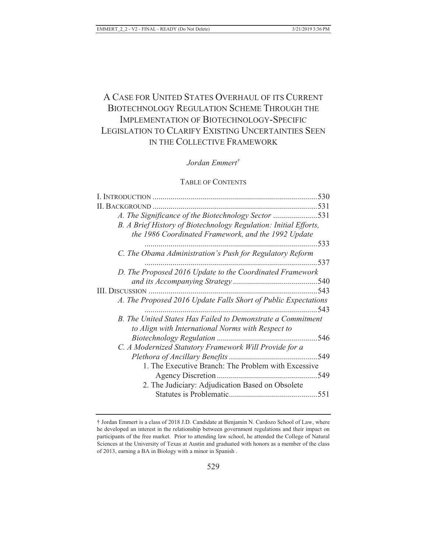# A CASE FOR UNITED STATES OVERHAUL OF ITS CURRENT BIOTECHNOLOGY REGULATION SCHEME THROUGH THE IMPLEMENTATION OF BIOTECHNOLOGY-SPECIFIC LEGISLATION TO CLARIFY EXISTING UNCERTAINTIES SEEN IN THE COLLECTIVE FRAMEWORK

## *Jordan Emmert†*

## TABLE OF CONTENTS

| 530                                                              |
|------------------------------------------------------------------|
| <b>II. BACKGROUND</b>                                            |
| A. The Significance of the Biotechnology Sector 531              |
| B. A Brief History of Biotechnology Regulation: Initial Efforts, |
| the 1986 Coordinated Framework, and the 1992 Update              |
| 533                                                              |
| C. The Obama Administration's Push for Regulatory Reform         |
| 537                                                              |
| D. The Proposed 2016 Update to the Coordinated Framework         |
|                                                                  |
| 543                                                              |
| A. The Proposed 2016 Update Falls Short of Public Expectations   |
| 543                                                              |
| B. The United States Has Failed to Demonstrate a Commitment      |
| to Align with International Norms with Respect to                |
|                                                                  |
| C. A Modernized Statutory Framework Will Provide for a           |
| 549                                                              |
| 1. The Executive Branch: The Problem with Excessive              |
| 549                                                              |
| 2. The Judiciary: Adjudication Based on Obsolete                 |
| 551                                                              |
|                                                                  |

<sup>†</sup> Jordan Emmert is a class of 2018 J.D. Candidate at Benjamin N. Cardozo School of Law, where he developed an interest in the relationship between government regulations and their impact on participants of the free market. Prior to attending law school, he attended the College of Natural Sciences at the University of Texas at Austin and graduated with honors as a member of the class of 2013, earning a BA in Biology with a minor in Spanish .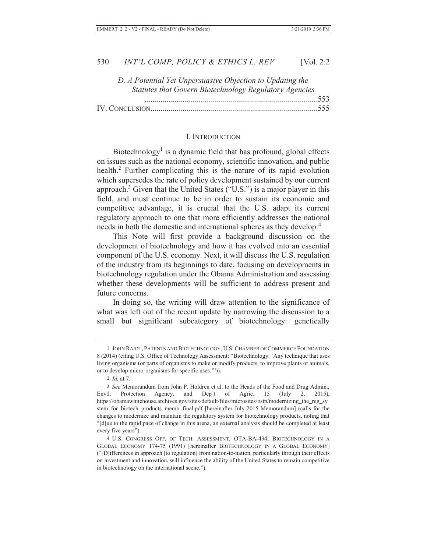| Vol. 2: | っ<br>∠ |
|---------|--------|
|---------|--------|

| D. A Potential Yet Unpersuasive Objection to Updating the |  |
|-----------------------------------------------------------|--|
| Statutes that Govern Biotechnology Regulatory Agencies    |  |
|                                                           |  |
|                                                           |  |

#### I. INTRODUCTION

Biotechnology<sup>1</sup> is a dynamic field that has profound, global effects on issues such as the national economy, scientific innovation, and public health.<sup>2</sup> Further complicating this is the nature of its rapid evolution which supersedes the rate of policy development sustained by our current approach.<sup>3</sup> Given that the United States ("U.S.") is a major player in this field, and must continue to be in order to sustain its economic and competitive advantage, it is crucial that the U.S. adapt its current regulatory approach to one that more efficiently addresses the national needs in both the domestic and international spheres as they develop.<sup>4</sup>

This Note will first provide a background discussion on the development of biotechnology and how it has evolved into an essential component of the U.S. economy. Next, it will discuss the U.S. regulation of the industry from its beginnings to date, focusing on developments in biotechnology regulation under the Obama Administration and assessing whether these developments will be sufficient to address present and future concerns.

In doing so, the writing will draw attention to the significance of what was left out of the recent update by narrowing the discussion to a small but significant subcategory of biotechnology: genetically

<sup>1</sup> JOHN RAIDT, PATENTS AND BIOTECHNOLOGY, U.S.CHAMBER OF COMMERCE FOUNDATION 8 (2014) (citing U.S. Office of Technology Assessment: "Biotechnology: 'Any technique that uses living organisms (or parts of organisms to make or modify products, to improve plants or animals, or to develop micro-organisms for specific uses.'")).

<sup>2</sup> *Id.* at 7.

<sup>3</sup> *See* Memorandum from John P. Holdren et al. to the Heads of the Food and Drug Admin., Envtl. Protection Agency, and Dep't of Agric. 15 (July 2, 2015), https://obamawhitehouse.archives.gov/sites/default/files/microsites/ostp/modernizing\_the\_reg\_sy stem\_for\_biotech\_products\_memo\_final.pdf [hereinafter July 2015 Memorandum] (calls for the changes to modernize and maintain the regulatory system for biotechnology products, noting that "[d]ue to the rapid pace of change in this arena, an external analysis should be completed at least every five years").

<sup>4</sup> U.S. CONGRESS OFF. OF TECH. ASSESSMENT, OTA-BA-494, BIOTECHNOLOGY IN A GLOBAL ECONOMY 174-75 (1991) [hereinafter BIOTECHNOLOGY IN A GLOBAL ECONOMY] ("[D]ifferences in approach [to regulation] from nation-to-nation, particularly through their effects on investment and innovation, will influence the ability of the United States to remain competitive in biotechnology on the international scene.").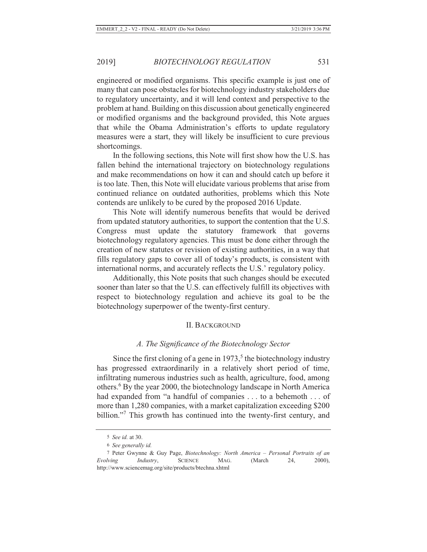engineered or modified organisms. This specific example is just one of many that can pose obstacles for biotechnology industry stakeholders due to regulatory uncertainty, and it will lend context and perspective to the problem at hand. Building on this discussion about genetically engineered or modified organisms and the background provided, this Note argues that while the Obama Administration's efforts to update regulatory measures were a start, they will likely be insufficient to cure previous shortcomings.

In the following sections, this Note will first show how the U.S. has fallen behind the international trajectory on biotechnology regulations and make recommendations on how it can and should catch up before it is too late. Then, this Note will elucidate various problems that arise from continued reliance on outdated authorities, problems which this Note contends are unlikely to be cured by the proposed 2016 Update.

This Note will identify numerous benefits that would be derived from updated statutory authorities, to support the contention that the U.S. Congress must update the statutory framework that governs biotechnology regulatory agencies. This must be done either through the creation of new statutes or revision of existing authorities, in a way that fills regulatory gaps to cover all of today's products, is consistent with international norms, and accurately reflects the U.S.' regulatory policy.

Additionally, this Note posits that such changes should be executed sooner than later so that the U.S. can effectively fulfill its objectives with respect to biotechnology regulation and achieve its goal to be the biotechnology superpower of the twenty-first century.

#### II. BACKGROUND

#### *A. The Significance of the Biotechnology Sector*

Since the first cloning of a gene in  $1973$ ,<sup>5</sup> the biotechnology industry has progressed extraordinarily in a relatively short period of time, infiltrating numerous industries such as health, agriculture, food, among others.<sup>6</sup> By the year 2000, the biotechnology landscape in North America had expanded from "a handful of companies . . . to a behemoth . . . of more than 1,280 companies, with a market capitalization exceeding \$200 billion."<sup>7</sup> This growth has continued into the twenty-first century, and

<sup>5</sup> *See id.* at 30.

<sup>6</sup> *See generally id.*

<sup>7</sup> Peter Gwynne & Guy Page, *Biotechnology: North America – Personal Portraits of an Evolving Industry*, SCIENCE MAG. (March 24, 2000), http://www.sciencemag.org/site/products/btechna.xhtml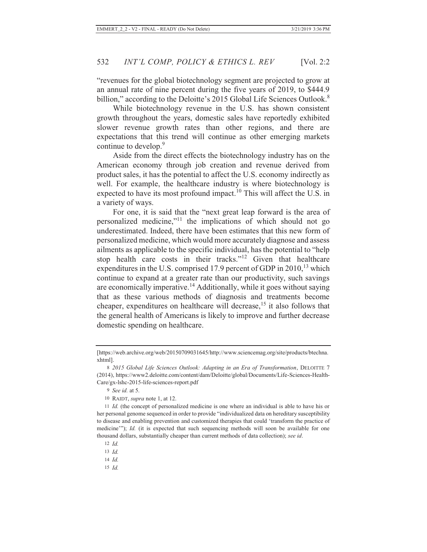"revenues for the global biotechnology segment are projected to grow at an annual rate of nine percent during the five years of 2019, to \$444.9 billion," according to the Deloitte's 2015 Global Life Sciences Outlook.<sup>8</sup>

While biotechnology revenue in the U.S. has shown consistent growth throughout the years, domestic sales have reportedly exhibited slower revenue growth rates than other regions, and there are expectations that this trend will continue as other emerging markets continue to develop.<sup>9</sup>

Aside from the direct effects the biotechnology industry has on the American economy through job creation and revenue derived from product sales, it has the potential to affect the U.S. economy indirectly as well. For example, the healthcare industry is where biotechnology is expected to have its most profound impact.<sup>10</sup> This will affect the U.S. in a variety of ways.

For one, it is said that the "next great leap forward is the area of personalized medicine,"11 the implications of which should not go underestimated. Indeed, there have been estimates that this new form of personalized medicine, which would more accurately diagnose and assess ailments as applicable to the specific individual, has the potential to "help stop health care costs in their tracks."12 Given that healthcare expenditures in the U.S. comprised 17.9 percent of GDP in  $2010$ ,  $^{13}$  which continue to expand at a greater rate than our productivity, such savings are economically imperative.14 Additionally, while it goes without saying that as these various methods of diagnosis and treatments become cheaper, expenditures on healthcare will decrease,<sup>15</sup> it also follows that the general health of Americans is likely to improve and further decrease domestic spending on healthcare.

12 *Id.*

13 *Id.*

14 *Id.*

15 *Id.*

<sup>[</sup>https://web.archive.org/web/20150709031645/http://www.sciencemag.org/site/products/btechna. xhtml].

<sup>8</sup> *2015 Global Life Sciences Outlook: Adapting in an Era of Transformation*, DELOITTE 7 (2014), https://www2.deloitte.com/content/dam/Deloitte/global/Documents/Life-Sciences-Health-Care/gx-lshc-2015-life-sciences-report.pdf

<sup>9</sup> *See id.* at 5.

<sup>10</sup> RAIDT, *supra* note 1, at 12.

<sup>11</sup> *Id.* (the concept of personalized medicine is one where an individual is able to have his or her personal genome sequenced in order to provide "individualized data on hereditary susceptibility to disease and enabling prevention and customized therapies that could 'transform the practice of medicine'"); *Id.* (it is expected that such sequencing methods will soon be available for one thousand dollars, substantially cheaper than current methods of data collection); *see id*.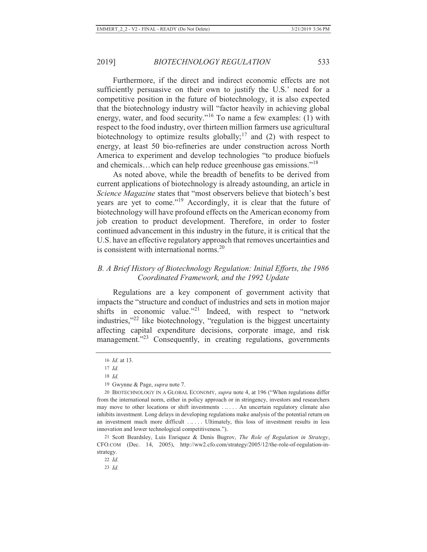Furthermore, if the direct and indirect economic effects are not sufficiently persuasive on their own to justify the U.S.' need for a competitive position in the future of biotechnology, it is also expected that the biotechnology industry will "factor heavily in achieving global energy, water, and food security."<sup>16</sup> To name a few examples: (1) with respect to the food industry, over thirteen million farmers use agricultural biotechnology to optimize results globally;<sup>17</sup> and (2) with respect to energy, at least 50 bio-refineries are under construction across North America to experiment and develop technologies "to produce biofuels and chemicals…which can help reduce greenhouse gas emissions."<sup>18</sup>

As noted above, while the breadth of benefits to be derived from current applications of biotechnology is already astounding, an article in *Science Magazine* states that "most observers believe that biotech's best years are yet to come."19 Accordingly, it is clear that the future of biotechnology will have profound effects on the American economy from job creation to product development. Therefore, in order to foster continued advancement in this industry in the future, it is critical that the U.S. have an effective regulatory approach that removes uncertainties and is consistent with international norms.<sup>20</sup>

## *B. A Brief History of Biotechnology Regulation: Initial Efforts, the 1986 Coordinated Framework, and the 1992 Update*

Regulations are a key component of government activity that impacts the "structure and conduct of industries and sets in motion major shifts in economic value."<sup>21</sup> Indeed, with respect to "network" industries,"22 like biotechnology, "regulation is the biggest uncertainty affecting capital expenditure decisions, corporate image, and risk management."<sup>23</sup> Consequently, in creating regulations, governments

21 Scott Beardsley, Luis Enriquez & Denis Bugrov, *The Role of Regulation in Strategy*, CFO.COM (Dec. 14, 2005), http://ww2.cfo.com/strategy/2005/12/the-role-of-regulation-instrategy.

22 *Id.*

23 *Id.*

<sup>16</sup> *Id.* at 13.

<sup>17</sup> *Id.*

<sup>18</sup> *Id.*

<sup>19</sup> Gwynne & Page, *supra* note 7.

<sup>20</sup> BIOTECHNOLOGY IN A GLOBAL ECONOMY, *supra* note 4, at 196 ("When regulations differ from the international norm, either in policy approach or in stringency, investors and researchers may move to other locations or shift investments . .. . . . An uncertain regulatory climate also inhibits investment. Long delays in developing regulations make analysis of the potential return on an investment much more difficult ..... Ultimately, this loss of investment results in less innovation and lower technological competitiveness.").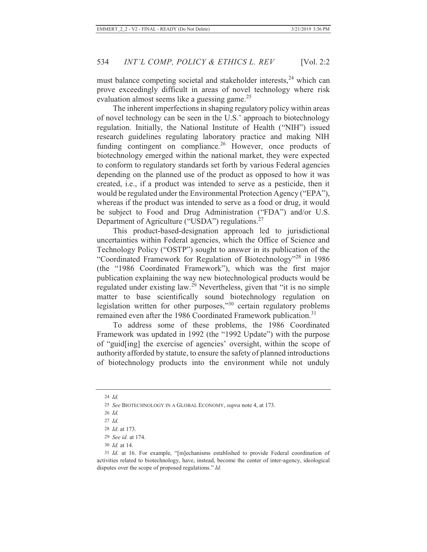must balance competing societal and stakeholder interests,<sup>24</sup> which can prove exceedingly difficult in areas of novel technology where risk evaluation almost seems like a guessing game.<sup>25</sup>

The inherent imperfections in shaping regulatory policy within areas of novel technology can be seen in the U.S.' approach to biotechnology regulation. Initially, the National Institute of Health ("NIH") issued research guidelines regulating laboratory practice and making NIH funding contingent on compliance.<sup>26</sup> However, once products of biotechnology emerged within the national market, they were expected to conform to regulatory standards set forth by various Federal agencies depending on the planned use of the product as opposed to how it was created, i.e., if a product was intended to serve as a pesticide, then it would be regulated under the Environmental Protection Agency ("EPA"), whereas if the product was intended to serve as a food or drug, it would be subject to Food and Drug Administration ("FDA") and/or U.S. Department of Agriculture ("USDA") regulations. $27$ 

This product-based-designation approach led to jurisdictional uncertainties within Federal agencies, which the Office of Science and Technology Policy ("OSTP") sought to answer in its publication of the "Coordinated Framework for Regulation of Biotechnology"28 in 1986 (the "1986 Coordinated Framework"), which was the first major publication explaining the way new biotechnological products would be regulated under existing law.<sup>29</sup> Nevertheless, given that "it is no simple matter to base scientifically sound biotechnology regulation on legislation written for other purposes,"30 certain regulatory problems remained even after the 1986 Coordinated Framework publication.<sup>31</sup>

To address some of these problems, the 1986 Coordinated Framework was updated in 1992 (the "1992 Update") with the purpose of "guid[ing] the exercise of agencies' oversight, within the scope of authority afforded by statute, to ensure the safety of planned introductions of biotechnology products into the environment while not unduly

<sup>24</sup> *Id.*

<sup>25</sup> *See* BIOTECHNOLOGY IN A GLOBAL ECONOMY, *supra* note 4, at 173.

<sup>26</sup> *Id.*

<sup>27</sup> *Id.*

<sup>28</sup> *Id*. at 173.

<sup>29</sup> *See id.* at 174.

<sup>30</sup> *Id.* at 14.

<sup>31</sup> *Id.* at 16. For example, "[m]echanisms established to provide Federal coordination of activities related to biotechnology, have, instead, become the center of inter-agency, ideological disputes over the scope of proposed regulations." *Id.*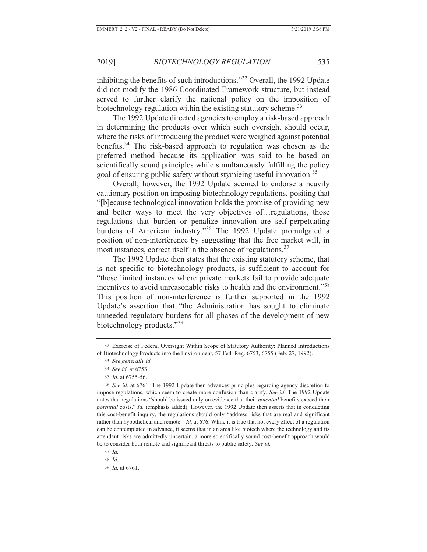inhibiting the benefits of such introductions."32 Overall, the 1992 Update did not modify the 1986 Coordinated Framework structure, but instead served to further clarify the national policy on the imposition of biotechnology regulation within the existing statutory scheme.<sup>33</sup>

The 1992 Update directed agencies to employ a risk-based approach in determining the products over which such oversight should occur, where the risks of introducing the product were weighed against potential benefits.<sup>34</sup> The risk-based approach to regulation was chosen as the preferred method because its application was said to be based on scientifically sound principles while simultaneously fulfilling the policy goal of ensuring public safety without stymieing useful innovation.<sup>35</sup>

Overall, however, the 1992 Update seemed to endorse a heavily cautionary position on imposing biotechnology regulations, positing that "[b]ecause technological innovation holds the promise of providing new and better ways to meet the very objectives of…regulations, those regulations that burden or penalize innovation are self-perpetuating burdens of American industry."36 The 1992 Update promulgated a position of non-interference by suggesting that the free market will, in most instances, correct itself in the absence of regulations.<sup>37</sup>

The 1992 Update then states that the existing statutory scheme, that is not specific to biotechnology products, is sufficient to account for "those limited instances where private markets fail to provide adequate incentives to avoid unreasonable risks to health and the environment."<sup>38</sup> This position of non-interference is further supported in the 1992 Update's assertion that "the Administration has sought to eliminate unneeded regulatory burdens for all phases of the development of new biotechnology products."<sup>39</sup>

35 *Id.* at 6755-56.

36 *See id.* at 6761. The 1992 Update then advances principles regarding agency discretion to impose regulations, which seem to create more confusion than clarify. *See id.* The 1992 Update notes that regulations "should be issued only on evidence that their *potential* benefits exceed their *potential* costs." *Id.* (emphasis added). However, the 1992 Update then asserts that in conducting this cost-benefit inquiry, the regulations should only "address risks that are real and significant rather than hypothetical and remote." *Id.* at 676. While it is true that not every effect of a regulation can be contemplated in advance, it seems that in an area like biotech where the technology and its attendant risks are admittedly uncertain, a more scientifically sound cost-benefit approach would be to consider both remote and significant threats to public safety. *See id.* 

<sup>32</sup> Exercise of Federal Oversight Within Scope of Statutory Authority: Planned Introductions of Biotechnology Products into the Environment, 57 Fed. Reg. 6753, 6755 (Feb. 27, 1992).

<sup>33</sup> *See generally id.*

<sup>34</sup> *See id.* at 6753.

<sup>37</sup> *Id.*

<sup>38</sup> *Id.*

<sup>39</sup> *Id.* at 6761.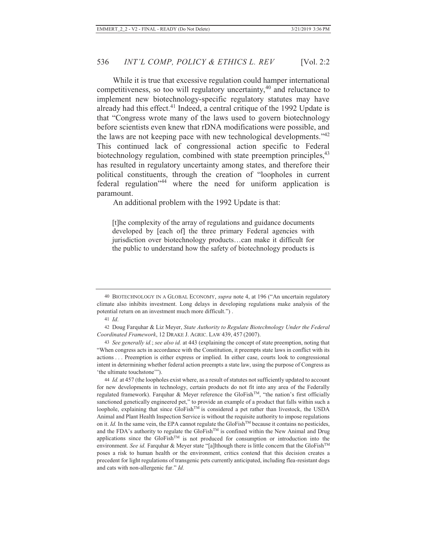While it is true that excessive regulation could hamper international competitiveness, so too will regulatory uncertainty,<sup>40</sup> and reluctance to implement new biotechnology-specific regulatory statutes may have already had this effect. $41$  Indeed, a central critique of the 1992 Update is that "Congress wrote many of the laws used to govern biotechnology before scientists even knew that rDNA modifications were possible, and the laws are not keeping pace with new technological developments.<sup> $142$ </sup> This continued lack of congressional action specific to Federal biotechnology regulation, combined with state preemption principles,  $43$ has resulted in regulatory uncertainty among states, and therefore their political constituents, through the creation of "loopholes in current federal regulation"44 where the need for uniform application is paramount.

An additional problem with the 1992 Update is that:

[t]he complexity of the array of regulations and guidance documents developed by [each of] the three primary Federal agencies with jurisdiction over biotechnology products…can make it difficult for the public to understand how the safety of biotechnology products is

41 *Id*.

<sup>40</sup> BIOTECHNOLOGY IN A GLOBAL ECONOMY, *supra* note 4, at 196 ("An uncertain regulatory climate also inhibits investment. Long delays in developing regulations make analysis of the potential return on an investment much more difficult.") .

<sup>42</sup> Doug Farquhar & Liz Meyer, *State Authority to Regulate Biotechnology Under the Federal Coordinated Framework*, 12 DRAKE J. AGRIC. LAW 439, 457 (2007).

<sup>43</sup> *See generally id.*; *see also id.* at 443 (explaining the concept of state preemption, noting that "When congress acts in accordance with the Constitution, it preempts state laws in conflict with its actions . . . Preemption is either express or implied. In either case, courts look to congressional intent in determining whether federal action preempts a state law, using the purpose of Congress as 'the ultimate touchstone'").

<sup>44</sup> *Id.* at 457 (the loopholes exist where, as a result of statutes not sufficiently updated to account for new developments in technology, certain products do not fit into any area of the Federally regulated framework). Farquhar & Meyer reference the GloFish<sup>TM</sup>, "the nation's first officially sanctioned genetically engineered pet," to provide an example of a product that falls within such a loophole, explaining that since  $GloFish^{TM}$  is considered a pet rather than livestock, the USDA Animal and Plant Health Inspection Service is without the requisite authority to impose regulations on it. *Id.* In the same vein, the EPA cannot regulate the GloFish<sup>TM</sup> because it contains no pesticides, and the FDA's authority to regulate the GloFish<sup>TM</sup> is confined within the New Animal and Drug applications since the GloFishTM is not produced for consumption or introduction into the environment. *See id.* Farquhar & Meyer state "[a]lthough there is little concern that the GloFish<sup>TM</sup> poses a risk to human health or the environment, critics contend that this decision creates a precedent for light regulations of transgenic pets currently anticipated, including flea-resistant dogs and cats with non-allergenic fur." *Id.*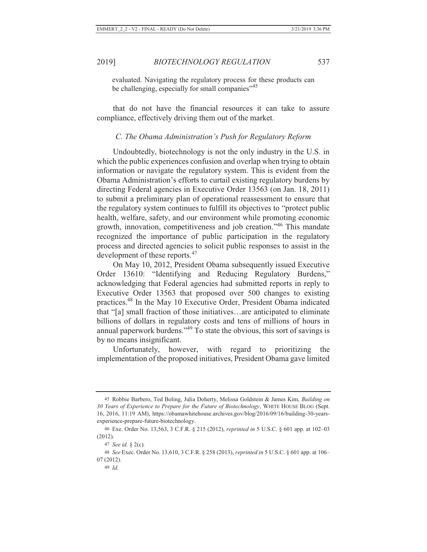evaluated. Navigating the regulatory process for these products can be challenging, especially for small companies"<sup>45</sup>

that do not have the financial resources it can take to assure compliance, effectively driving them out of the market.

## *C. The Obama Administration's Push for Regulatory Reform*

Undoubtedly, biotechnology is not the only industry in the U.S. in which the public experiences confusion and overlap when trying to obtain information or navigate the regulatory system. This is evident from the Obama Administration's efforts to curtail existing regulatory burdens by directing Federal agencies in Executive Order 13563 (on Jan. 18, 2011) to submit a preliminary plan of operational reassessment to ensure that the regulatory system continues to fulfill its objectives to "protect public health, welfare, safety, and our environment while promoting economic growth, innovation, competitiveness and job creation."46 This mandate recognized the importance of public participation in the regulatory process and directed agencies to solicit public responses to assist in the development of these reports.<sup>47</sup>

On May 10, 2012, President Obama subsequently issued Executive Order 13610: "Identifying and Reducing Regulatory Burdens," acknowledging that Federal agencies had submitted reports in reply to Executive Order 13563 that proposed over 500 changes to existing practices.48 In the May 10 Executive Order, President Obama indicated that "[a] small fraction of those initiatives…are anticipated to eliminate billions of dollars in regulatory costs and tens of millions of hours in annual paperwork burdens."49 To state the obvious, this sort of savings is by no means insignificant.

Unfortunately, however, with regard to prioritizing the implementation of the proposed initiatives, President Obama gave limited

<sup>45</sup> Robbie Barbero, Ted Boling, Julia Doherty, Melissa Goldstein & James Kim, *Building on 30 Years of Experience to Prepare for the Future of Biotechnology*, WHITE HOUSE BLOG (Sept. 16, 2016, 11:19 AM), https://obamawhitehouse.archives.gov/blog/2016/09/16/building-30-yearsexperience-prepare-future-biotechnology.

<sup>46</sup> Exe. Order No. 13,563, 3 C.F.R. § 215 (2012), *reprinted in* 5 U.S.C. § 601 app. at 102–03 (2012).

<sup>47</sup> *See id.* § 2(c)*.*

<sup>48</sup> *See* Exec. Order No. 13,610, 3 C.F.R. § 258 (2013), *reprinted in* 5 U.S.C. § 601 app. at 106– 07 (2012).

<sup>49</sup> *Id.*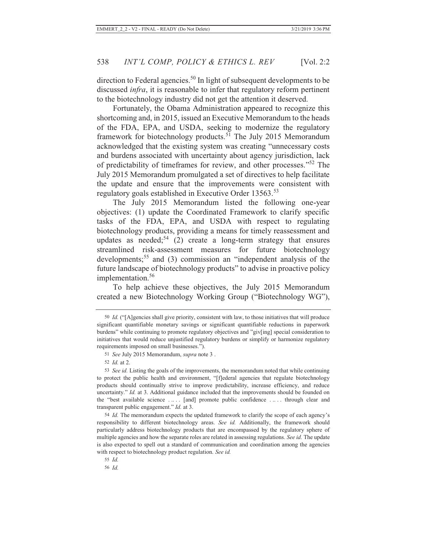direction to Federal agencies.<sup>50</sup> In light of subsequent developments to be discussed *infra*, it is reasonable to infer that regulatory reform pertinent to the biotechnology industry did not get the attention it deserved.

Fortunately, the Obama Administration appeared to recognize this shortcoming and, in 2015, issued an Executive Memorandum to the heads of the FDA, EPA, and USDA, seeking to modernize the regulatory framework for biotechnology products.<sup>51</sup> The July 2015 Memorandum acknowledged that the existing system was creating "unnecessary costs and burdens associated with uncertainty about agency jurisdiction, lack of predictability of timeframes for review, and other processes."52 The July 2015 Memorandum promulgated a set of directives to help facilitate the update and ensure that the improvements were consistent with regulatory goals established in Executive Order 13563.<sup>53</sup>

The July 2015 Memorandum listed the following one-year objectives: (1) update the Coordinated Framework to clarify specific tasks of the FDA, EPA, and USDA with respect to regulating biotechnology products, providing a means for timely reassessment and updates as needed;<sup>54</sup> (2) create a long-term strategy that ensures streamlined risk-assessment measures for future biotechnology developments;<sup>55</sup> and (3) commission an "independent analysis of the future landscape of biotechnology products" to advise in proactive policy implementation.<sup>56</sup>

To help achieve these objectives, the July 2015 Memorandum created a new Biotechnology Working Group ("Biotechnology WG"),

<sup>50</sup> *Id.* ("[A]gencies shall give priority, consistent with law, to those initiatives that will produce significant quantifiable monetary savings or significant quantifiable reductions in paperwork burdens" while continuing to promote regulatory objectives and "giv[ing] special consideration to initiatives that would reduce unjustified regulatory burdens or simplify or harmonize regulatory requirements imposed on small businesses.").

<sup>51</sup> *See* July 2015 Memorandum, *supra* note 3 .

<sup>52</sup> *Id.* at 2.

<sup>53</sup> *See id.* Listing the goals of the improvements, the memorandum noted that while continuing to protect the public health and environment, "[f]ederal agencies that regulate biotechnology products should continually strive to improve predictability, increase efficiency, and reduce uncertainty." *Id.* at 3. Additional guidance included that the improvements should be founded on the "best available science . .. . . [and] promote public confidence . .. . . through clear and transparent public engagement." *Id.* at 3.

<sup>54</sup> *Id.* The memorandum expects the updated framework to clarify the scope of each agency's responsibility to different biotechnology areas. *See id.* Additionally, the framework should particularly address biotechnology products that are encompassed by the regulatory sphere of multiple agencies and how the separate roles are related in assessing regulations. *See id.* The update is also expected to spell out a standard of communication and coordination among the agencies with respect to biotechnology product regulation. *See id.* 

<sup>55</sup> *Id.*

<sup>56</sup> *Id.*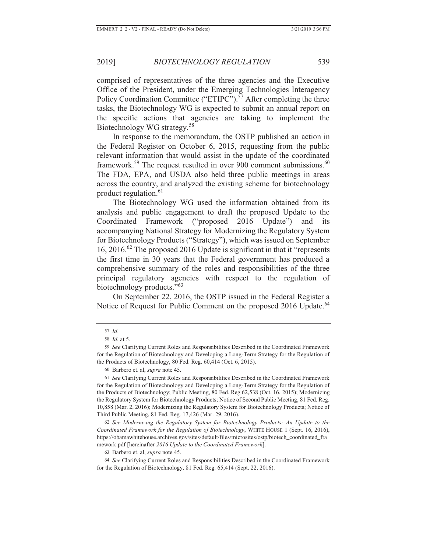comprised of representatives of the three agencies and the Executive Office of the President, under the Emerging Technologies Interagency Policy Coordination Committee ("ETIPC").<sup>57</sup> After completing the three tasks, the Biotechnology WG is expected to submit an annual report on the specific actions that agencies are taking to implement the Biotechnology WG strategy.<sup>58</sup>

In response to the memorandum, the OSTP published an action in the Federal Register on October 6, 2015, requesting from the public relevant information that would assist in the update of the coordinated framework.<sup>59</sup> The request resulted in over 900 comment submissions.<sup>60</sup> The FDA, EPA, and USDA also held three public meetings in areas across the country, and analyzed the existing scheme for biotechnology product regulation.<sup>61</sup>

The Biotechnology WG used the information obtained from its analysis and public engagement to draft the proposed Update to the Coordinated Framework ("proposed 2016 Update") and its accompanying National Strategy for Modernizing the Regulatory System for Biotechnology Products ("Strategy"), which was issued on September 16, 2016.62 The proposed 2016 Update is significant in that it "represents the first time in 30 years that the Federal government has produced a comprehensive summary of the roles and responsibilities of the three principal regulatory agencies with respect to the regulation of biotechnology products."<sup>63</sup>

On September 22, 2016, the OSTP issued in the Federal Register a Notice of Request for Public Comment on the proposed 2016 Update.<sup>64</sup>

<sup>57</sup> *Id*.

<sup>58</sup> *Id.* at 5.

<sup>59</sup> *See* Clarifying Current Roles and Responsibilities Described in the Coordinated Framework for the Regulation of Biotechnology and Developing a Long-Term Strategy for the Regulation of the Products of Biotechnology, 80 Fed. Reg. 60,414 (Oct. 6, 2015).

<sup>60</sup> Barbero et. al, *supra* note 45.

<sup>61</sup> *See* Clarifying Current Roles and Responsibilities Described in the Coordinated Framework for the Regulation of Biotechnology and Developing a Long-Term Strategy for the Regulation of the Products of Biotechnology; Public Meeting, 80 Fed. Reg 62,538 (Oct. 16, 2015); Modernizing the Regulatory System for Biotechnology Products; Notice of Second Public Meeting, 81 Fed. Reg. 10,858 (Mar. 2, 2016); Modernizing the Regulatory System for Biotechnology Products; Notice of Third Public Meeting, 81 Fed. Reg. 17,426 (Mar. 29, 2016).

<sup>62</sup> *See Modernizing the Regulatory System for Biotechnology Products: An Update to the Coordinated Framework for the Regulation of Biotechnology*, WHITE HOUSE 1 (Sept. 16, 2016), https://obamawhitehouse.archives.gov/sites/default/files/microsites/ostp/biotech\_coordinated\_fra mework.pdf [hereinafter *2016 Update to the Coordinated Framework*].

<sup>63</sup> Barbero et. al, *supra* note 45.

<sup>64</sup> *See* Clarifying Current Roles and Responsibilities Described in the Coordinated Framework for the Regulation of Biotechnology, 81 Fed. Reg. 65,414 (Sept. 22, 2016).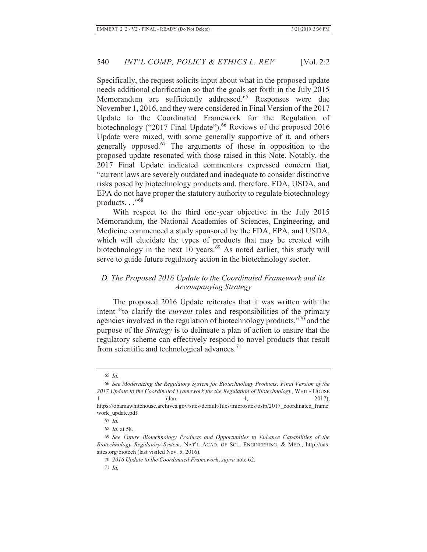Specifically, the request solicits input about what in the proposed update needs additional clarification so that the goals set forth in the July 2015 Memorandum are sufficiently addressed.<sup>65</sup> Responses were due November 1, 2016, and they were considered in Final Version of the 2017 Update to the Coordinated Framework for the Regulation of biotechnology ("2017 Final Update").<sup>66</sup> Reviews of the proposed 2016 Update were mixed, with some generally supportive of it, and others generally opposed. $67$  The arguments of those in opposition to the proposed update resonated with those raised in this Note. Notably, the 2017 Final Update indicated commenters expressed concern that, "current laws are severely outdated and inadequate to consider distinctive risks posed by biotechnology products and, therefore, FDA, USDA, and EPA do not have proper the statutory authority to regulate biotechnology products. . ."68

With respect to the third one-year objective in the July 2015 Memorandum, the National Academies of Sciences, Engineering, and Medicine commenced a study sponsored by the FDA, EPA, and USDA, which will elucidate the types of products that may be created with biotechnology in the next  $10$  years.<sup>69</sup> As noted earlier, this study will serve to guide future regulatory action in the biotechnology sector.

## *D. The Proposed 2016 Update to the Coordinated Framework and its Accompanying Strategy*

The proposed 2016 Update reiterates that it was written with the intent "to clarify the *current* roles and responsibilities of the primary agencies involved in the regulation of biotechnology products,"70 and the purpose of the *Strategy* is to delineate a plan of action to ensure that the regulatory scheme can effectively respond to novel products that result from scientific and technological advances.<sup>71</sup>

<sup>65</sup> *Id.*

<sup>66</sup> *See Modernizing the Regulatory System for Biotechnology Products: Final Version of the 2017 Update to the Coordinated Framework for the Regulation of Biotechnology*, WHITE HOUSE 1 (Jan. 4, 2017),

https://obamawhitehouse.archives.gov/sites/default/files/microsites/ostp/2017\_coordinated\_frame work\_update.pdf.

<sup>67</sup> *Id.*

<sup>68</sup> *Id.* at 58.

<sup>69</sup> *See Future Biotechnology Products and Opportunities to Enhance Capabilities of the Biotechnology Regulatory System*, NAT'L ACAD. OF SCI., ENGINEERING, & MED., http://nassites.org/biotech (last visited Nov. 5, 2016).

<sup>70</sup> *2016 Update to the Coordinated Framework*, *supra* note 62.

<sup>71</sup> *Id.*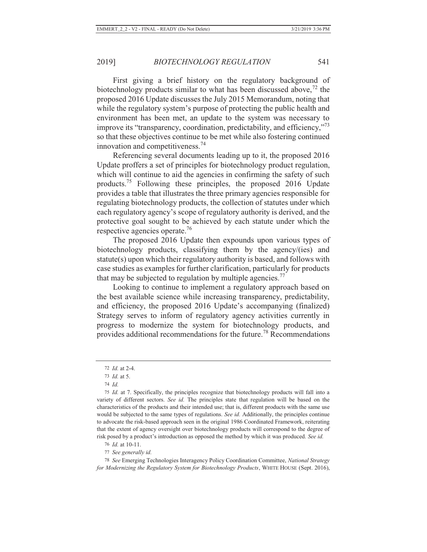First giving a brief history on the regulatory background of biotechnology products similar to what has been discussed above,  $^{72}$  the proposed 2016 Update discusses the July 2015 Memorandum, noting that while the regulatory system's purpose of protecting the public health and environment has been met, an update to the system was necessary to improve its "transparency, coordination, predictability, and efficiency,"<sup>73</sup> so that these objectives continue to be met while also fostering continued innovation and competitiveness.<sup>74</sup>

Referencing several documents leading up to it, the proposed 2016 Update proffers a set of principles for biotechnology product regulation, which will continue to aid the agencies in confirming the safety of such products.75 Following these principles, the proposed 2016 Update provides a table that illustrates the three primary agencies responsible for regulating biotechnology products, the collection of statutes under which each regulatory agency's scope of regulatory authority is derived, and the protective goal sought to be achieved by each statute under which the respective agencies operate.<sup>76</sup>

The proposed 2016 Update then expounds upon various types of biotechnology products, classifying them by the agency/(ies) and statute(s) upon which their regulatory authority is based, and follows with case studies as examples for further clarification, particularly for products that may be subjected to regulation by multiple agencies.<sup>77</sup>

Looking to continue to implement a regulatory approach based on the best available science while increasing transparency, predictability, and efficiency, the proposed 2016 Update's accompanying (finalized) Strategy serves to inform of regulatory agency activities currently in progress to modernize the system for biotechnology products, and provides additional recommendations for the future.78 Recommendations

76 *Id.* at 10-11.

77 *See generally id.*

78 *See* Emerging Technologies Interagency Policy Coordination Committee, *National Strategy for Modernizing the Regulatory System for Biotechnology Products*, WHITE HOUSE (Sept. 2016),

<sup>72</sup> *Id.* at 2-4.

<sup>73</sup> *Id.* at 5.

<sup>74</sup> *Id.*

<sup>75</sup> *Id.* at 7. Specifically, the principles recognize that biotechnology products will fall into a variety of different sectors. *See id.* The principles state that regulation will be based on the characteristics of the products and their intended use; that is, different products with the same use would be subjected to the same types of regulations. *See id.* Additionally, the principles continue to advocate the risk-based approach seen in the original 1986 Coordinated Framework, reiterating that the extent of agency oversight over biotechnology products will correspond to the degree of risk posed by a product's introduction as opposed the method by which it was produced. *See id.*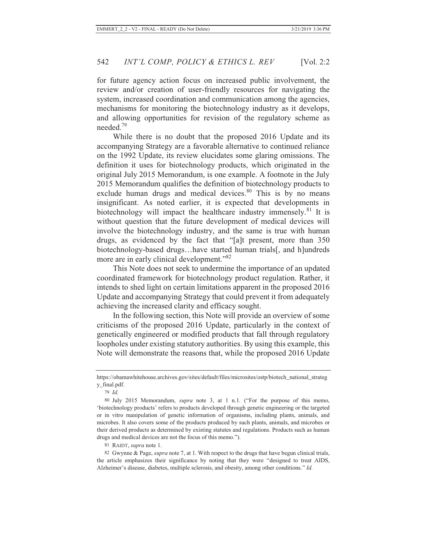for future agency action focus on increased public involvement, the review and/or creation of user-friendly resources for navigating the system, increased coordination and communication among the agencies, mechanisms for monitoring the biotechnology industry as it develops, and allowing opportunities for revision of the regulatory scheme as needed.79

While there is no doubt that the proposed 2016 Update and its accompanying Strategy are a favorable alternative to continued reliance on the 1992 Update, its review elucidates some glaring omissions. The definition it uses for biotechnology products, which originated in the original July 2015 Memorandum, is one example. A footnote in the July 2015 Memorandum qualifies the definition of biotechnology products to exclude human drugs and medical devices.<sup>80</sup> This is by no means insignificant. As noted earlier, it is expected that developments in biotechnology will impact the healthcare industry immensely.<sup>81</sup> It is without question that the future development of medical devices will involve the biotechnology industry, and the same is true with human drugs, as evidenced by the fact that "[a]t present, more than 350 biotechnology-based drugs…have started human trials[, and h]undreds more are in early clinical development."<sup>82</sup>

This Note does not seek to undermine the importance of an updated coordinated framework for biotechnology product regulation. Rather, it intends to shed light on certain limitations apparent in the proposed 2016 Update and accompanying Strategy that could prevent it from adequately achieving the increased clarity and efficacy sought.

In the following section, this Note will provide an overview of some criticisms of the proposed 2016 Update, particularly in the context of genetically engineered or modified products that fall through regulatory loopholes under existing statutory authorities. By using this example, this Note will demonstrate the reasons that, while the proposed 2016 Update

82 Gwynne & Page, *supra* note 7, at 1. With respect to the drugs that have begun clinical trials, the article emphasizes their significance by noting that they were "designed to treat AIDS, Alzheimer's disease, diabetes, multiple sclerosis, and obesity, among other conditions." *Id.*

https://obamawhitehouse.archives.gov/sites/default/files/microsites/ostp/biotech\_national\_strateg y\_final.pdf.

<sup>79</sup> *Id.*

<sup>80</sup> July 2015 Memorandum, *supra* note 3, at 1 n.1. ("For the purpose of this memo, 'biotechnology products' refers to products developed through genetic engineering or the targeted or in vitro manipulation of genetic information of organisms, including plants, animals, and microbes. It also covers some of the products produced by such plants, animals, and microbes or their derived products as determined by existing statutes and regulations. Products such as human drugs and medical devices are not the focus of this memo.").

<sup>81</sup> RAIDT, *supra* note 1.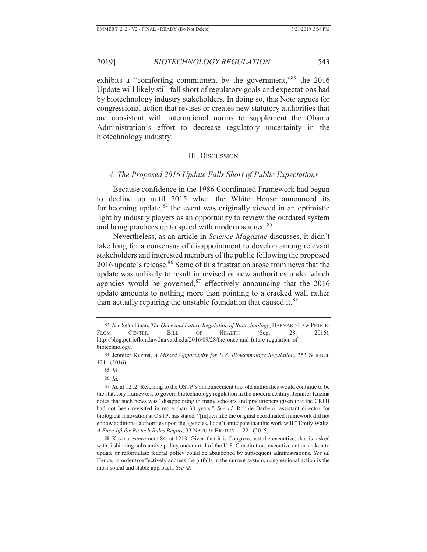exhibits a "comforting commitment by the government,"<sup>83</sup> the 2016 Update will likely still fall short of regulatory goals and expectations had by biotechnology industry stakeholders. In doing so, this Note argues for congressional action that revises or creates new statutory authorities that are consistent with international norms to supplement the Obama Administration's effort to decrease regulatory uncertainty in the biotechnology industry.

#### III. DISCUSSION

#### *A. The Proposed 2016 Update Falls Short of Public Expectations*

Because confidence in the 1986 Coordinated Framework had begun to decline up until 2015 when the White House announced its forthcoming update, $84$  the event was originally viewed in an optimistic light by industry players as an opportunity to review the outdated system and bring practices up to speed with modern science.<sup>85</sup>

Nevertheless, as an article in *Science Magazine* discusses, it didn't take long for a consensus of disappointment to develop among relevant stakeholders and interested members of the public following the proposed 2016 update's release.<sup>86</sup> Some of this frustration arose from news that the update was unlikely to result in revised or new authorities under which agencies would be governed, $87$  effectively announcing that the 2016 update amounts to nothing more than pointing to a cracked wall rather than actually repairing the unstable foundation that caused it.<sup>88</sup>

86 *Id.*

88 Kuzma, *supra* note 84, at 1213. Given that it is Congress, not the executive, that is tasked with fashioning substantive policy under art. I of the U.S. Constitution, executive actions taken to update or reformulate federal policy could be abandoned by subsequent administrations. *See id.*  Hence, in order to effectively address the pitfalls in the current system, congressional action is the most sound and stable approach. *See id.*

<sup>83</sup> *See* Seán Finan, *The Once and Future Regulation of Biotechnology*, HARVARD LAW PETRIE-FLOM CENTER: BILL OF HEALTH (Sept. 28, 2016), http://blog.petrieflom.law.harvard.edu/2016/09/28/the-once-and-future-regulation-ofbiotechnology.

<sup>84</sup> Jennifer Kuzma, *A Missed Opportunity for U.S. Biotechnology Regulation*, 353 SCIENCE 1211 (2016).

<sup>85</sup> *Id.*

<sup>87</sup> *Id.* at 1212. Referring to the OSTP's announcement that old authorities would continue to be the statutory framework to govern biotechnology regulation in the modern century, Jennifer Kuzma notes that such news was "disappointing to many scholars and practitioners given that the CRFB had not been revisited in more than 30 years." *See id.* Robbie Barbero, assistant director for biological innovation at OSTP, has stated, "[m]uch like the original coordinated framework did not endow additional authorities upon the agencies, I don't anticipate that this work will." Emily Waltz, *A Face-lift for Biotech Rules Begins*, 33 NATURE BIOTECH. 1221 (2015).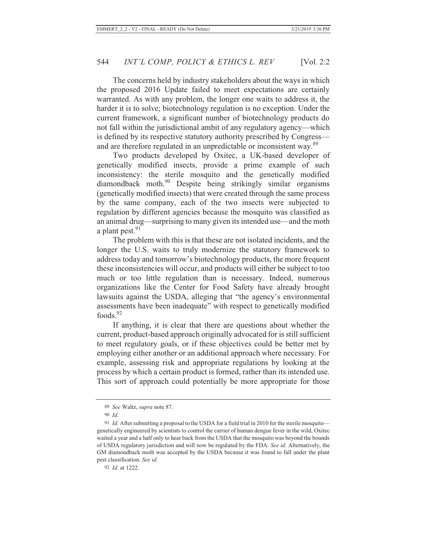The concerns held by industry stakeholders about the ways in which the proposed 2016 Update failed to meet expectations are certainly warranted. As with any problem, the longer one waits to address it, the harder it is to solve; biotechnology regulation is no exception. Under the current framework, a significant number of biotechnology products do not fall within the jurisdictional ambit of any regulatory agency—which is defined by its respective statutory authority prescribed by Congress and are therefore regulated in an unpredictable or inconsistent way.<sup>89</sup>

Two products developed by Oxitec, a UK-based developer of genetically modified insects, provide a prime example of such inconsistency: the sterile mosquito and the genetically modified diamondback moth.90 Despite being strikingly similar organisms (genetically modified insects) that were created through the same process by the same company, each of the two insects were subjected to regulation by different agencies because the mosquito was classified as an animal drug—surprising to many given its intended use—and the moth a plant pest. $91$ 

The problem with this is that these are not isolated incidents, and the longer the U.S. waits to truly modernize the statutory framework to address today and tomorrow's biotechnology products, the more frequent these inconsistencies will occur, and products will either be subject to too much or too little regulation than is necessary. Indeed, numerous organizations like the Center for Food Safety have already brought lawsuits against the USDA, alleging that "the agency's environmental assessments have been inadequate" with respect to genetically modified foods.<sup>92</sup>

If anything, it is clear that there are questions about whether the current, product-based approach originally advocated for is still sufficient to meet regulatory goals, or if these objectives could be better met by employing either another or an additional approach where necessary. For example, assessing risk and appropriate regulations by looking at the process by which a certain product is formed, rather than its intended use. This sort of approach could potentially be more appropriate for those

92 *Id*. at 1222.

<sup>89</sup> *See* Waltz, *supra* note 87.

<sup>90</sup> *Id*.

<sup>91</sup> *Id.* After submitting a proposal to the USDA for a field trial in 2010 for the sterile mosquito genetically engineered by scientists to control the carrier of human dengue fever in the wild, Oxitec waited a year and a half only to hear back from the USDA that the mosquito was beyond the bounds of USDA regulatory jurisdiction and will now be regulated by the FDA. *See id.* Alternatively, the GM diamondback moth was accepted by the USDA because it was found to fall under the plant pest classification. *See id.*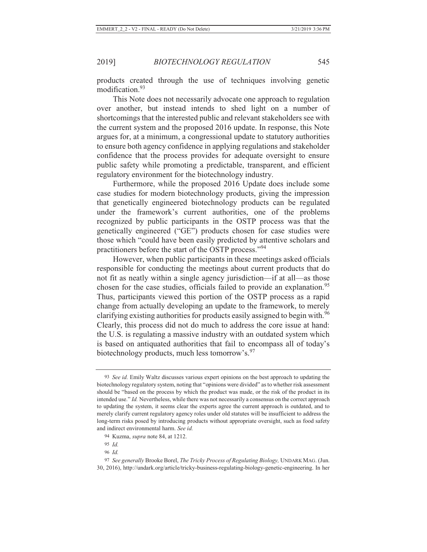products created through the use of techniques involving genetic modification.<sup>93</sup>

This Note does not necessarily advocate one approach to regulation over another, but instead intends to shed light on a number of shortcomings that the interested public and relevant stakeholders see with the current system and the proposed 2016 update. In response, this Note argues for, at a minimum, a congressional update to statutory authorities to ensure both agency confidence in applying regulations and stakeholder confidence that the process provides for adequate oversight to ensure public safety while promoting a predictable, transparent, and efficient regulatory environment for the biotechnology industry.

Furthermore, while the proposed 2016 Update does include some case studies for modern biotechnology products, giving the impression that genetically engineered biotechnology products can be regulated under the framework's current authorities, one of the problems recognized by public participants in the OSTP process was that the genetically engineered ("GE") products chosen for case studies were those which "could have been easily predicted by attentive scholars and practitioners before the start of the OSTP process."<sup>94</sup>

However, when public participants in these meetings asked officials responsible for conducting the meetings about current products that do not fit as neatly within a single agency jurisdiction—if at all—as those chosen for the case studies, officials failed to provide an explanation.<sup>95</sup> Thus, participants viewed this portion of the OSTP process as a rapid change from actually developing an update to the framework, to merely clarifying existing authorities for products easily assigned to begin with.<sup>96</sup> Clearly, this process did not do much to address the core issue at hand: the U.S. is regulating a massive industry with an outdated system which is based on antiquated authorities that fail to encompass all of today's biotechnology products, much less tomorrow's.<sup>97</sup>

<sup>93</sup> *See id.* Emily Waltz discusses various expert opinions on the best approach to updating the biotechnology regulatory system, noting that "opinions were divided" as to whether risk assessment should be "based on the process by which the product was made, or the risk of the product in its intended use." *Id.* Nevertheless, while there was not necessarily a consensus on the correct approach to updating the system, it seems clear the experts agree the current approach is outdated, and to merely clarify current regulatory agency roles under old statutes will be insufficient to address the long-term risks posed by introducing products without appropriate oversight, such as food safety and indirect environmental harm. *See id.*

<sup>94</sup> Kuzma, *supra* note 84, at 1212.

<sup>95</sup> *Id.*

<sup>96</sup> *Id.*

<sup>97</sup> *See generally* Brooke Borel, *The Tricky Process of Regulating Biology,* UNDARK MAG. (Jun. 30, 2016), http://undark.org/article/tricky-business-regulating-biology-genetic-engineering. In her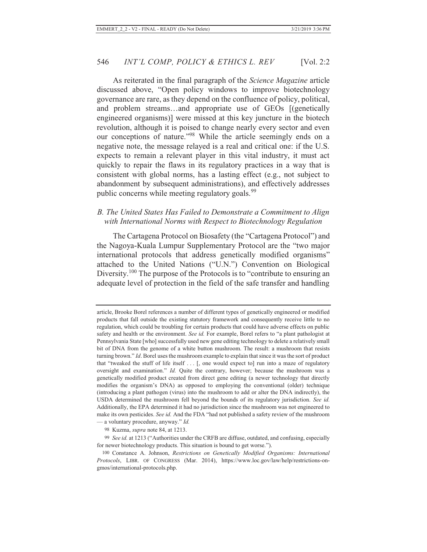As reiterated in the final paragraph of the *Science Magazine* article discussed above, "Open policy windows to improve biotechnology governance are rare, as they depend on the confluence of policy, political, and problem streams…and appropriate use of GEOs [(genetically engineered organisms)] were missed at this key juncture in the biotech revolution, although it is poised to change nearly every sector and even our conceptions of nature."98 While the article seemingly ends on a negative note, the message relayed is a real and critical one: if the U.S. expects to remain a relevant player in this vital industry, it must act quickly to repair the flaws in its regulatory practices in a way that is consistent with global norms, has a lasting effect (e.g., not subject to abandonment by subsequent administrations), and effectively addresses public concerns while meeting regulatory goals.<sup>99</sup>

#### *B. The United States Has Failed to Demonstrate a Commitment to Align with International Norms with Respect to Biotechnology Regulation*

The Cartagena Protocol on Biosafety (the "Cartagena Protocol") and the Nagoya-Kuala Lumpur Supplementary Protocol are the "two major international protocols that address genetically modified organisms" attached to the United Nations ("U.N.") Convention on Biological Diversity.<sup>100</sup> The purpose of the Protocols is to "contribute to ensuring an adequate level of protection in the field of the safe transfer and handling

article, Brooke Borel references a number of different types of genetically engineered or modified products that fall outside the existing statutory framework and consequently receive little to no regulation, which could be troubling for certain products that could have adverse effects on public safety and health or the environment. *See id.* For example, Borel refers to "a plant pathologist at Pennsylvania State [who] successfully used new gene editing technology to delete a relatively small bit of DNA from the genome of a white button mushroom. The result: a mushroom that resists turning brown." *Id*. Borel uses the mushroom example to explain that since it was the sort of product that "tweaked the stuff of life itself . . . [, one would expect to] run into a maze of regulatory oversight and examination." *Id.* Quite the contrary, however; because the mushroom was a genetically modified product created from direct gene editing (a newer technology that directly modifies the organism's DNA) as opposed to employing the conventional (older) technique (introducing a plant pathogen (virus) into the mushroom to add or alter the DNA indirectly), the USDA determined the mushroom fell beyond the bounds of its regulatory jurisdiction. *See id.*  Additionally, the EPA determined it had no jurisdiction since the mushroom was not engineered to make its own pesticides. *See id.* And the FDA "had not published a safety review of the mushroom — a voluntary procedure, anyway." *Id.*

<sup>98</sup> Kuzma, *supra* note 84, at 1213.

<sup>99</sup> *See id.* at 1213 ("Authorities under the CRFB are diffuse, outdated, and confusing, especially for newer biotechnology products. This situation is bound to get worse.").

<sup>100</sup> Constance A. Johnson, *Restrictions on Genetically Modified Organisms: International Protocols*, LIBR. OF CONGRESS (Mar. 2014), https://www.loc.gov/law/help/restrictions-ongmos/international-protocols.php.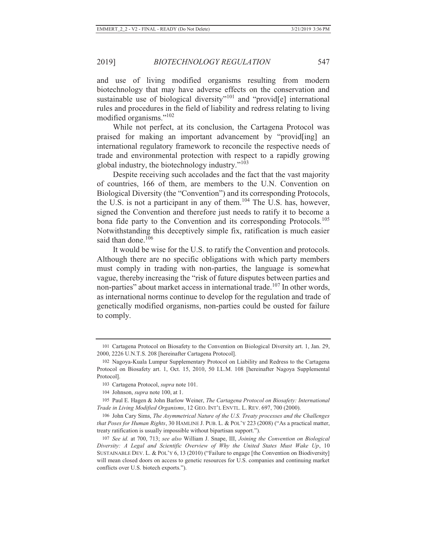and use of living modified organisms resulting from modern biotechnology that may have adverse effects on the conservation and sustainable use of biological diversity"<sup>101</sup> and "provid<sup>[e]</sup> international rules and procedures in the field of liability and redress relating to living modified organisms."<sup>102</sup>

While not perfect, at its conclusion, the Cartagena Protocol was praised for making an important advancement by "provid[ing] an international regulatory framework to reconcile the respective needs of trade and environmental protection with respect to a rapidly growing global industry, the biotechnology industry."<sup>103</sup>

Despite receiving such accolades and the fact that the vast majority of countries, 166 of them, are members to the U.N. Convention on Biological Diversity (the "Convention") and its corresponding Protocols, the U.S. is not a participant in any of them.104 The U.S. has, however, signed the Convention and therefore just needs to ratify it to become a bona fide party to the Convention and its corresponding Protocols.<sup>105</sup> Notwithstanding this deceptively simple fix, ratification is much easier said than done.<sup>106</sup>

It would be wise for the U.S. to ratify the Convention and protocols. Although there are no specific obligations with which party members must comply in trading with non-parties, the language is somewhat vague, thereby increasing the "risk of future disputes between parties and non-parties" about market access in international trade.<sup>107</sup> In other words, as international norms continue to develop for the regulation and trade of genetically modified organisms, non-parties could be ousted for failure to comply.

<sup>101</sup> Cartagena Protocol on Biosafety to the Convention on Biological Diversity art. 1, Jan. 29, 2000, 2226 U.N.T.S. 208 [hereinafter Cartagena Protocol].

<sup>102</sup> Nagoya-Kuala Lumpur Supplementary Protocol on Liability and Redress to the Cartagena Protocol on Biosafety art. 1, Oct. 15, 2010, 50 I.L.M. 108 [hereinafter Nagoya Supplemental Protocol].

<sup>103</sup> Cartagena Protocol, *supra* note 101.

<sup>104</sup> Johnson, *supra* note 100, at 1.

<sup>105</sup> Paul E. Hagen & John Barlow Weiner, *The Cartagena Protocol on Biosafety: International Trade in Living Modified Organisms*, 12 GEO. INT'L ENVTL. L. REV. 697, 700 (2000).

<sup>106</sup> John Cary Sims, *The Asymmetrical Nature of the U.S. Treaty processes and the Challenges that Poses for Human Rights*, 30 HAMLINE J. PUB. L. & POL'Y 223 (2008) ("As a practical matter, treaty ratification is usually impossible without bipartisan support.").

<sup>107</sup> *See id.* at 700, 713; *see also* William J. Snape, III, *Joining the Convention on Biological Diversity: A Legal and Scientific Overview of Why the United States Must Wake Up*, 10 SUSTAINABLE DEV. L. & POL'Y 6, 13 (2010) ("Failure to engage [the Convention on Biodiversity] will mean closed doors on access to genetic resources for U.S. companies and continuing market conflicts over U.S. biotech exports.").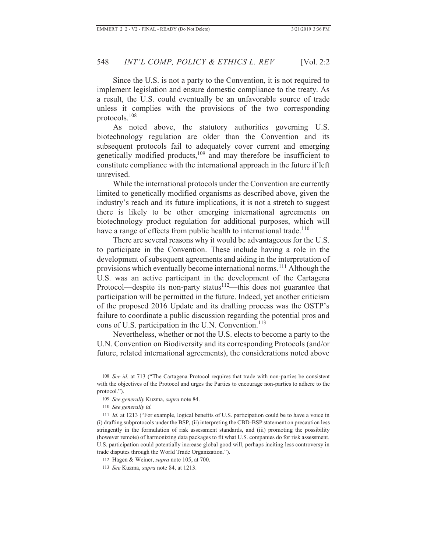Since the U.S. is not a party to the Convention, it is not required to implement legislation and ensure domestic compliance to the treaty. As a result, the U.S. could eventually be an unfavorable source of trade unless it complies with the provisions of the two corresponding protocols.<sup>108</sup>

As noted above, the statutory authorities governing U.S. biotechnology regulation are older than the Convention and its subsequent protocols fail to adequately cover current and emerging genetically modified products, $109$  and may therefore be insufficient to constitute compliance with the international approach in the future if left unrevised.

While the international protocols under the Convention are currently limited to genetically modified organisms as described above, given the industry's reach and its future implications, it is not a stretch to suggest there is likely to be other emerging international agreements on biotechnology product regulation for additional purposes, which will have a range of effects from public health to international trade.<sup>110</sup>

There are several reasons why it would be advantageous for the U.S. to participate in the Convention. These include having a role in the development of subsequent agreements and aiding in the interpretation of provisions which eventually become international norms.<sup>111</sup> Although the U.S. was an active participant in the development of the Cartagena Protocol—despite its non-party status $112$ —this does not guarantee that participation will be permitted in the future. Indeed, yet another criticism of the proposed 2016 Update and its drafting process was the OSTP's failure to coordinate a public discussion regarding the potential pros and cons of U.S. participation in the U.N. Convention. $113$ 

Nevertheless, whether or not the U.S. elects to become a party to the U.N. Convention on Biodiversity and its corresponding Protocols (and/or future, related international agreements), the considerations noted above

<sup>108</sup> *See id.* at 713 ("The Cartagena Protocol requires that trade with non-parties be consistent with the objectives of the Protocol and urges the Parties to encourage non-parties to adhere to the protocol.").

<sup>109</sup> *See generally* Kuzma, *supra* note 84.

<sup>110</sup> *See generally id.*

<sup>111</sup> *Id.* at 1213 ("For example, logical benefits of U.S. participation could be to have a voice in (i) drafting subprotocols under the BSP, (ii) interpreting the CBD-BSP statement on precaution less stringently in the formulation of risk assessment standards, and (iii) promoting the possibility (however remote) of harmonizing data packages to fit what U.S. companies do for risk assessment. U.S. participation could potentially increase global good will, perhaps inciting less controversy in trade disputes through the World Trade Organization.").

<sup>112</sup> Hagen & Weiner, *supra* note 105, at 700.

<sup>113</sup> *See* Kuzma, *supra* note 84, at 1213.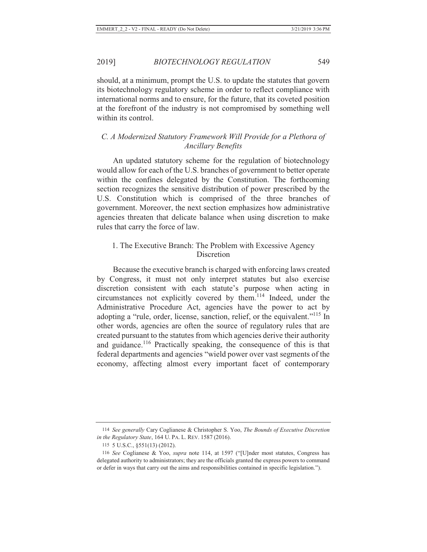should, at a minimum, prompt the U.S. to update the statutes that govern its biotechnology regulatory scheme in order to reflect compliance with international norms and to ensure, for the future, that its coveted position at the forefront of the industry is not compromised by something well within its control.

## *C. A Modernized Statutory Framework Will Provide for a Plethora of Ancillary Benefits*

An updated statutory scheme for the regulation of biotechnology would allow for each of the U.S. branches of government to better operate within the confines delegated by the Constitution. The forthcoming section recognizes the sensitive distribution of power prescribed by the U.S. Constitution which is comprised of the three branches of government. Moreover, the next section emphasizes how administrative agencies threaten that delicate balance when using discretion to make rules that carry the force of law.

## 1. The Executive Branch: The Problem with Excessive Agency Discretion

Because the executive branch is charged with enforcing laws created by Congress, it must not only interpret statutes but also exercise discretion consistent with each statute's purpose when acting in circumstances not explicitly covered by them.114 Indeed, under the Administrative Procedure Act, agencies have the power to act by adopting a "rule, order, license, sanction, relief, or the equivalent."115 In other words, agencies are often the source of regulatory rules that are created pursuant to the statutes from which agencies derive their authority and guidance.<sup>116</sup> Practically speaking, the consequence of this is that federal departments and agencies "wield power over vast segments of the economy, affecting almost every important facet of contemporary

<sup>114</sup> *See generally* Cary Coglianese & Christopher S. Yoo, *The Bounds of Executive Discretion in the Regulatory State*, 164 U. PA. L. REV. 1587 (2016).

<sup>115 5</sup> U.S.C., §551(13) (2012).

<sup>116</sup> *See* Coglianese & Yoo, *supra* note 114, at 1597 ("[U]nder most statutes, Congress has delegated authority to administrators; they are the officials granted the express powers to command or defer in ways that carry out the aims and responsibilities contained in specific legislation.").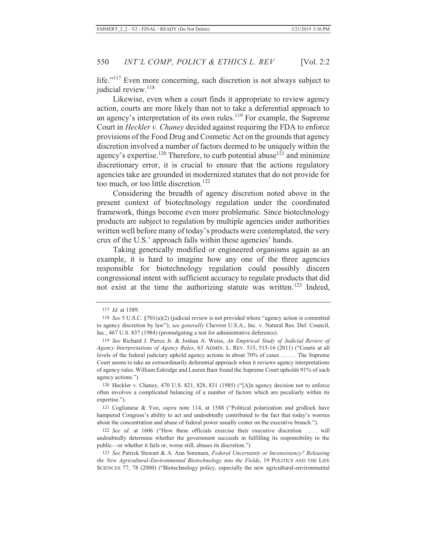life."117 Even more concerning, such discretion is not always subject to judicial review.<sup>118</sup>

Likewise, even when a court finds it appropriate to review agency action, courts are more likely than not to take a deferential approach to an agency's interpretation of its own rules.<sup>119</sup> For example, the Supreme Court in *Heckler v. Chaney* decided against requiring the FDA to enforce provisions of the Food Drug and Cosmetic Act on the grounds that agency discretion involved a number of factors deemed to be uniquely within the agency's expertise.<sup>120</sup> Therefore, to curb potential abuse<sup>121</sup> and minimize discretionary error, it is crucial to ensure that the actions regulatory agencies take are grounded in modernized statutes that do not provide for too much, or too little discretion.<sup>122</sup>

Considering the breadth of agency discretion noted above in the present context of biotechnology regulation under the coordinated framework, things become even more problematic. Since biotechnology products are subject to regulation by multiple agencies under authorities written well before many of today's products were contemplated, the very crux of the U.S.' approach falls within these agencies' hands.

Taking genetically modified or engineered organisms again as an example, it is hard to imagine how any one of the three agencies responsible for biotechnology regulation could possibly discern congressional intent with sufficient accuracy to regulate products that did not exist at the time the authorizing statute was written.<sup>123</sup> Indeed,

<sup>117</sup> *Id*. at 1589.

<sup>118</sup> *See* 5 U.S.C. §701(a)(2) (judicial review is not provided where "agency action is committed to agency discretion by law"); *see generally* Chevron U.S.A., Inc. v. Natural Res. Def. Council, Inc., 467 U.S. 837 (1984) (promulgating a test for administrative deference).

<sup>119</sup> *See* Richard J. Pierce Jr. & Joshua A. Weiss, *An Empirical Study of Judicial Review of Agency Interpretations of Agency Rules*, 63 ADMIN. L. REV. 515, 515-16 (2011) ("Courts at all levels of the federal judiciary uphold agency actions in about 70% of cases . .. . . . The Supreme Court seems to take an extraordinarily deferential approach when it reviews agency interpretations of agency rules. William Eskridge and Lauren Baer found the Supreme Court upholds 91% of such agency actions.").

<sup>120</sup> Heckler v. Chaney, 470 U.S. 821, 828, 831 (1985) ("[A]n agency decision not to enforce often involves a complicated balancing of a number of factors which are peculiarly within its expertise.").

<sup>121</sup> Coglianese & Yoo, *supra* note 114, at 1588 ("Political polarization and gridlock have hampered Congress's ability to act and undoubtedly contributed to the fact that today's worries about the concentration and abuse of federal power usually center on the executive branch.").

<sup>122</sup> *See id.* at 1606 ("How these officials exercise their executive discretion . .. . . will undoubtedly determine whether the government succeeds in fulfilling its responsibility to the public—or whether it fails or, worse still, abuses its discretion.").

<sup>123</sup> *See* Patrick Stewart & A. Ann Sorensen, *Federal Uncertainty or Inconsistency? Releasing the New Agricultural-Environmental Biotechnology into the Fields*, 19 POLITICS AND THE LIFE SCIENCES 77, 78 (2000) ("Biotechnology policy, especially the new agricultural-environmental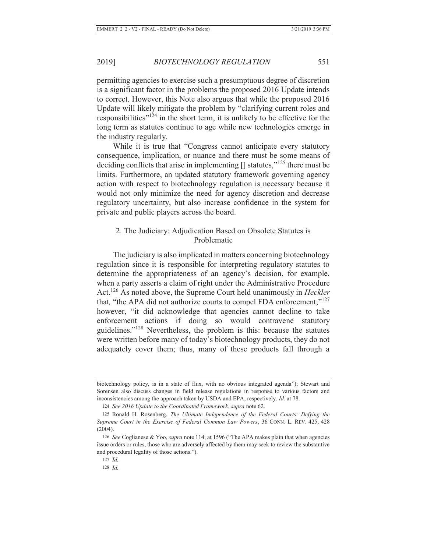permitting agencies to exercise such a presumptuous degree of discretion is a significant factor in the problems the proposed 2016 Update intends to correct. However, this Note also argues that while the proposed 2016 Update will likely mitigate the problem by "clarifying current roles and responsibilities" $124$  in the short term, it is unlikely to be effective for the long term as statutes continue to age while new technologies emerge in the industry regularly.

While it is true that "Congress cannot anticipate every statutory consequence, implication, or nuance and there must be some means of deciding conflicts that arise in implementing  $[$ ] statutes,"<sup>125</sup> there must be limits. Furthermore, an updated statutory framework governing agency action with respect to biotechnology regulation is necessary because it would not only minimize the need for agency discretion and decrease regulatory uncertainty, but also increase confidence in the system for private and public players across the board.

### 2. The Judiciary: Adjudication Based on Obsolete Statutes is Problematic

The judiciary is also implicated in matters concerning biotechnology regulation since it is responsible for interpreting regulatory statutes to determine the appropriateness of an agency's decision, for example, when a party asserts a claim of right under the Administrative Procedure Act.126 As noted above, the Supreme Court held unanimously in *Heckler* that, "the APA did not authorize courts to compel FDA enforcement;"<sup>127</sup> however, "it did acknowledge that agencies cannot decline to take enforcement actions if doing so would contravene statutory guidelines."128 Nevertheless, the problem is this: because the statutes were written before many of today's biotechnology products, they do not adequately cover them; thus, many of these products fall through a

biotechnology policy, is in a state of flux, with no obvious integrated agenda"); Stewart and Sorensen also discuss changes in field release regulations in response to various factors and inconsistencies among the approach taken by USDA and EPA, respectively. *Id.* at 78.

<sup>124</sup> *See 2016 Update to the Coordinated Framework*, *supra* note 62.

<sup>125</sup> Ronald H. Rosenberg, *The Ultimate Independence of the Federal Courts: Defying the Supreme Court in the Exercise of Federal Common Law Powers*, 36 CONN. L. REV. 425, 428 (2004).

<sup>126</sup> *See* Coglianese & Yoo, *supra* note 114, at 1596 ("The APA makes plain that when agencies issue orders or rules, those who are adversely affected by them may seek to review the substantive and procedural legality of those actions.").

<sup>127</sup> *Id.*

<sup>128</sup> *Id.*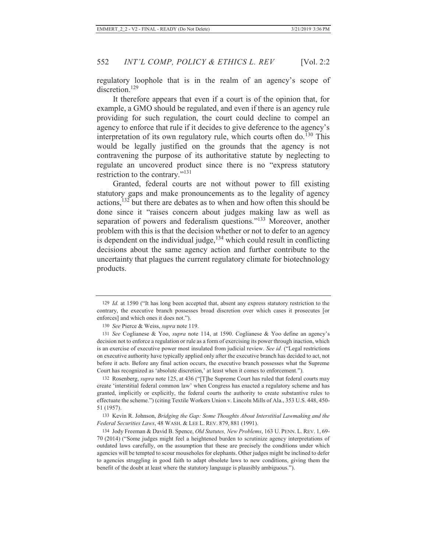regulatory loophole that is in the realm of an agency's scope of discretion.<sup>129</sup>

It therefore appears that even if a court is of the opinion that, for example, a GMO should be regulated, and even if there is an agency rule providing for such regulation, the court could decline to compel an agency to enforce that rule if it decides to give deference to the agency's interpretation of its own regulatory rule, which courts often do.<sup>130</sup> This would be legally justified on the grounds that the agency is not contravening the purpose of its authoritative statute by neglecting to regulate an uncovered product since there is no "express statutory restriction to the contrary."<sup>131</sup>

Granted, federal courts are not without power to fill existing statutory gaps and make pronouncements as to the legality of agency actions,132 but there are debates as to when and how often this should be done since it "raises concern about judges making law as well as separation of powers and federalism questions."<sup>133</sup> Moreover, another problem with this is that the decision whether or not to defer to an agency is dependent on the individual judge, $134$  which could result in conflicting decisions about the same agency action and further contribute to the uncertainty that plagues the current regulatory climate for biotechnology products.

132 Rosenberg, *supra* note 125, at 436 ("[T]he Supreme Court has ruled that federal courts may create 'interstitial federal common law' when Congress has enacted a regulatory scheme and has granted, implicitly or explicitly, the federal courts the authority to create substantive rules to effectuate the scheme.") (citing Textile Workers Union v. Lincoln Mills of Ala., 353 U.S. 448, 450- 51 (1957).

133 Kevin R. Johnson, *Bridging the Gap: Some Thoughts About Interstitial Lawmaking and the Federal Securities Laws*, 48 WASH. & LEE L. REV. 879, 881 (1991).

134 Jody Freeman & David B. Spence, *Old Statutes, New Problems*, 163 U. PENN. L. REV. 1, 69- 70 (2014) ("Some judges might feel a heightened burden to scrutinize agency interpretations of outdated laws carefully, on the assumption that these are precisely the conditions under which agencies will be tempted to scour mouseholes for elephants. Other judges might be inclined to defer to agencies struggling in good faith to adapt obsolete laws to new conditions, giving them the benefit of the doubt at least where the statutory language is plausibly ambiguous.").

<sup>129</sup> *Id.* at 1590 ("It has long been accepted that, absent any express statutory restriction to the contrary, the executive branch possesses broad discretion over which cases it prosecutes [or enforces] and which ones it does not.").

<sup>130</sup> *See* Pierce & Weiss, *supra* note 119.

<sup>131</sup> *See* Coglianese & Yoo, *supra* note 114, at 1590. Coglianese & Yoo define an agency's decision not to enforce a regulation or rule as a form of exercising its power through inaction, which is an exercise of executive power most insulated from judicial review. *See id.* ("Legal restrictions on executive authority have typically applied only after the executive branch has decided to act, not before it acts. Before any final action occurs, the executive branch possesses what the Supreme Court has recognized as 'absolute discretion,' at least when it comes to enforcement.").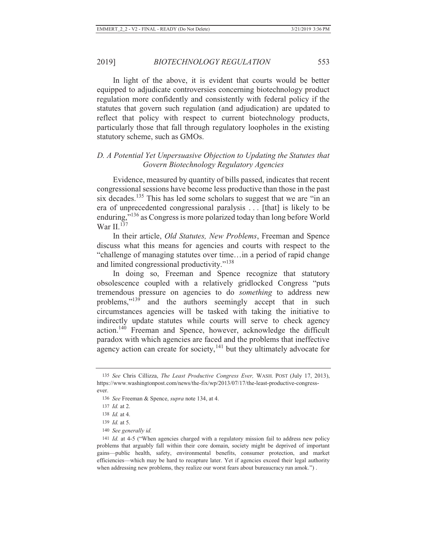In light of the above, it is evident that courts would be better equipped to adjudicate controversies concerning biotechnology product regulation more confidently and consistently with federal policy if the statutes that govern such regulation (and adjudication) are updated to reflect that policy with respect to current biotechnology products, particularly those that fall through regulatory loopholes in the existing statutory scheme, such as GMOs.

## *D. A Potential Yet Unpersuasive Objection to Updating the Statutes that Govern Biotechnology Regulatory Agencies*

Evidence, measured by quantity of bills passed, indicates that recent congressional sessions have become less productive than those in the past six decades.<sup>135</sup> This has led some scholars to suggest that we are "in an era of unprecedented congressional paralysis . . . [that] is likely to be enduring,"136 as Congress is more polarized today than long before World War II. $137$ 

In their article, *Old Statutes, New Problems*, Freeman and Spence discuss what this means for agencies and courts with respect to the "challenge of managing statutes over time…in a period of rapid change and limited congressional productivity."<sup>138</sup>

In doing so, Freeman and Spence recognize that statutory obsolescence coupled with a relatively gridlocked Congress "puts tremendous pressure on agencies to do *something* to address new problems,"<sup>139</sup> and the authors seemingly accept that in such circumstances agencies will be tasked with taking the initiative to indirectly update statutes while courts will serve to check agency action.140 Freeman and Spence, however, acknowledge the difficult paradox with which agencies are faced and the problems that ineffective agency action can create for society, $141$  but they ultimately advocate for

<sup>135</sup> *See* Chris Cillizza, *The Least Productive Congress Ever,* WASH. POST (July 17, 2013), https://www.washingtonpost.com/news/the-fix/wp/2013/07/17/the-least-productive-congressever.

<sup>136</sup> *See* Freeman & Spence, *supra* note 134, at 4.

<sup>137</sup> *Id.* at 2.

<sup>138</sup> *Id.* at 4.

<sup>139</sup> *Id.* at 5.

<sup>140</sup> *See generally id.*

<sup>141</sup> *Id.* at 4-5 ("When agencies charged with a regulatory mission fail to address new policy problems that arguably fall within their core domain, society might be deprived of important gains—public health, safety, environmental benefits, consumer protection, and market efficiencies—which may be hard to recapture later. Yet if agencies exceed their legal authority when addressing new problems, they realize our worst fears about bureaucracy run amok.").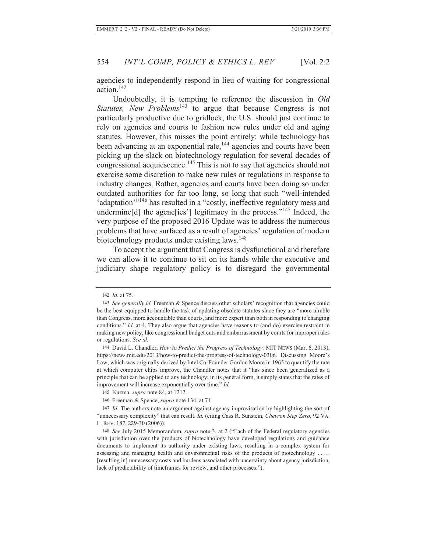agencies to independently respond in lieu of waiting for congressional action.142

Undoubtedly, it is tempting to reference the discussion in *Old Statutes, New Problems*<sup>143</sup> to argue that because Congress is not particularly productive due to gridlock, the U.S. should just continue to rely on agencies and courts to fashion new rules under old and aging statutes. However, this misses the point entirely: while technology has been advancing at an exponential rate,<sup>144</sup> agencies and courts have been picking up the slack on biotechnology regulation for several decades of congressional acquiescence.145 This is not to say that agencies should not exercise some discretion to make new rules or regulations in response to industry changes. Rather, agencies and courts have been doing so under outdated authorities for far too long, so long that such "well-intended 'adaptation'"146 has resulted in a "costly, ineffective regulatory mess and undermine[d] the agenc[ies'] legitimacy in the process."<sup>147</sup> Indeed, the very purpose of the proposed 2016 Update was to address the numerous problems that have surfaced as a result of agencies' regulation of modern biotechnology products under existing laws.<sup>148</sup>

To accept the argument that Congress is dysfunctional and therefore we can allow it to continue to sit on its hands while the executive and judiciary shape regulatory policy is to disregard the governmental

<sup>142</sup> *Id.* at 75.

<sup>143</sup> *See generally id.* Freeman & Spence discuss other scholars' recognition that agencies could be the best equipped to handle the task of updating obsolete statutes since they are "more nimble than Congress, more accountable than courts, and more expert than both in responding to changing conditions." *Id.* at 4. They also argue that agencies have reasons to (and do) exercise restraint in making new policy, like congressional budget cuts and embarrassment by courts for improper rules or regulations. *See id.*

<sup>144</sup> David L. Chandler, *How to Predict the Progress of Technology,* MIT NEWS (Mar. 6, 2013), https://news.mit.edu/2013/how-to-predict-the-progress-of-technology-0306. Discussing Moore's Law, which was originally derived by Intel Co-Founder Gordon Moore in 1965 to quantify the rate at which computer chips improve, the Chandler notes that it "has since been generalized as a principle that can be applied to any technology; in its general form, it simply states that the rates of improvement will increase exponentially over time." *Id.*

<sup>145</sup> Kuzma, *supra* note 84, at 1212.

<sup>146</sup> Freeman & Spence, *supra* note 134, at 71

<sup>147</sup> *Id.* The authors note an argument against agency improvisation by highlighting the sort of "unnecessary complexity" that can result. *Id.* (citing Cass R. Sunstein, *Chevron Step Zero*, 92 VA. L. REV. 187, 229-30 (2006)).

<sup>148</sup> *See* July 2015 Memorandum, *supra* note 3, at 2 ("Each of the Federal regulatory agencies with jurisdiction over the products of biotechnology have developed regulations and guidance documents to implement its authority under existing laws, resulting in a complex system for assessing and managing health and environmental risks of the products of biotechnology . ... [resulting in] unnecessary costs and burdens associated with uncertainty about agency jurisdiction, lack of predictability of timeframes for review, and other processes.").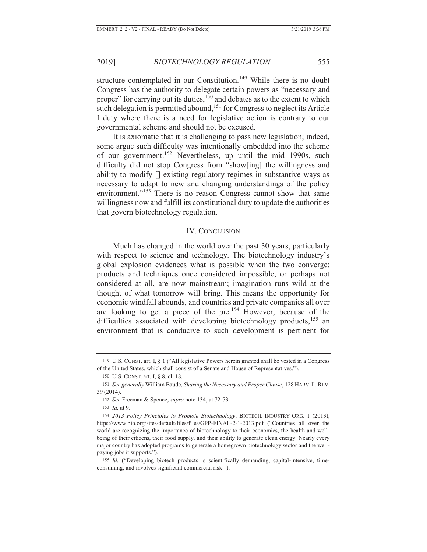structure contemplated in our Constitution.<sup>149</sup> While there is no doubt Congress has the authority to delegate certain powers as "necessary and proper" for carrying out its duties,<sup>150</sup> and debates as to the extent to which such delegation is permitted abound,<sup>151</sup> for Congress to neglect its Article I duty where there is a need for legislative action is contrary to our governmental scheme and should not be excused.

It is axiomatic that it is challenging to pass new legislation; indeed, some argue such difficulty was intentionally embedded into the scheme of our government.152 Nevertheless, up until the mid 1990s, such difficulty did not stop Congress from "show[ing] the willingness and ability to modify [] existing regulatory regimes in substantive ways as necessary to adapt to new and changing understandings of the policy environment."<sup>153</sup> There is no reason Congress cannot show that same willingness now and fulfill its constitutional duty to update the authorities that govern biotechnology regulation.

#### IV. CONCLUSION

Much has changed in the world over the past 30 years, particularly with respect to science and technology. The biotechnology industry's global explosion evidences what is possible when the two converge: products and techniques once considered impossible, or perhaps not considered at all, are now mainstream; imagination runs wild at the thought of what tomorrow will bring. This means the opportunity for economic windfall abounds, and countries and private companies all over are looking to get a piece of the pie.154 However, because of the difficulties associated with developing biotechnology products, $155$  an environment that is conducive to such development is pertinent for

<sup>149</sup> U.S. CONST. art. I, § 1 ("All legislative Powers herein granted shall be vested in a Congress of the United States, which shall consist of a Senate and House of Representatives.").

<sup>150</sup> U.S. CONST. art. I, § 8, cl. 18.

<sup>151</sup> *See generally* William Baude, *Sharing the Necessary and Proper Clause*, 128 HARV. L. REV. 39 (2014).

<sup>152</sup> *See* Freeman & Spence, *supra* note 134, at 72-73.

<sup>153</sup> *Id.* at 9.

<sup>154</sup> *2013 Policy Principles to Promote Biotechnology*, BIOTECH. INDUSTRY ORG. 1 (2013), https://www.bio.org/sites/default/files/files/GPP-FINAL-2-1-2013.pdf ("Countries all over the world are recognizing the importance of biotechnology to their economies, the health and wellbeing of their citizens, their food supply, and their ability to generate clean energy. Nearly every major country has adopted programs to generate a homegrown biotechnology sector and the wellpaying jobs it supports.").

<sup>155</sup> *Id.* ("Developing biotech products is scientifically demanding, capital-intensive, timeconsuming, and involves significant commercial risk.").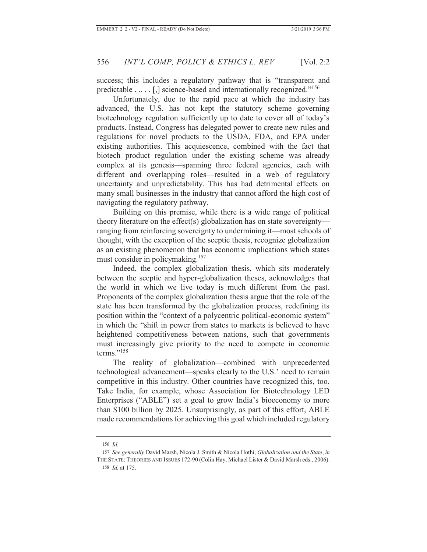success; this includes a regulatory pathway that is "transparent and predictable . . . . . [,] science-based and internationally recognized."<sup>156</sup>

Unfortunately, due to the rapid pace at which the industry has advanced, the U.S. has not kept the statutory scheme governing biotechnology regulation sufficiently up to date to cover all of today's products. Instead, Congress has delegated power to create new rules and regulations for novel products to the USDA, FDA, and EPA under existing authorities. This acquiescence, combined with the fact that biotech product regulation under the existing scheme was already complex at its genesis—spanning three federal agencies, each with different and overlapping roles—resulted in a web of regulatory uncertainty and unpredictability. This has had detrimental effects on many small businesses in the industry that cannot afford the high cost of navigating the regulatory pathway.

Building on this premise, while there is a wide range of political theory literature on the effect(s) globalization has on state sovereignty ranging from reinforcing sovereignty to undermining it—most schools of thought, with the exception of the sceptic thesis, recognize globalization as an existing phenomenon that has economic implications which states must consider in policymaking.<sup>157</sup>

Indeed, the complex globalization thesis, which sits moderately between the sceptic and hyper-globalization theses, acknowledges that the world in which we live today is much different from the past. Proponents of the complex globalization thesis argue that the role of the state has been transformed by the globalization process, redefining its position within the "context of a polycentric political-economic system" in which the "shift in power from states to markets is believed to have heightened competitiveness between nations, such that governments must increasingly give priority to the need to compete in economic terms."<sup>158</sup>

The reality of globalization—combined with unprecedented technological advancement—speaks clearly to the U.S.' need to remain competitive in this industry. Other countries have recognized this, too. Take India, for example, whose Association for Biotechnology LED Enterprises ("ABLE") set a goal to grow India's bioeconomy to more than \$100 billion by 2025. Unsurprisingly, as part of this effort, ABLE made recommendations for achieving this goal which included regulatory

<sup>156</sup> *Id.*

<sup>157</sup> *See generally* David Marsh, Nicola J. Smith & Nicola Hothi, *Globalization and the State*, *in* THE STATE: THEORIES AND ISSUES 172-90 (Colin Hay, Michael Lister & David Marsh eds., 2006). 158 *Id.* at 175.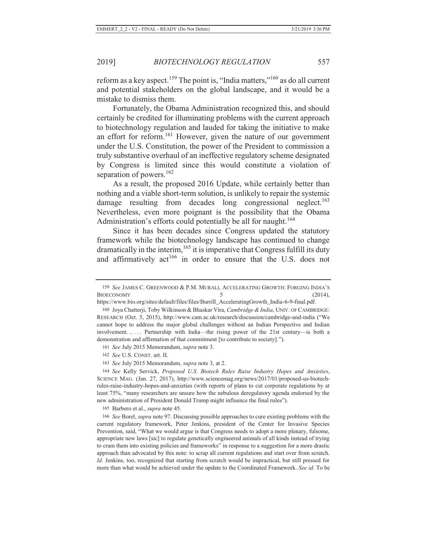reform as a key aspect.<sup>159</sup> The point is, "India matters,"<sup>160</sup> as do all current and potential stakeholders on the global landscape, and it would be a mistake to dismiss them.

Fortunately, the Obama Administration recognized this, and should certainly be credited for illuminating problems with the current approach to biotechnology regulation and lauded for taking the initiative to make an effort for reform.161 However, given the nature of our government under the U.S. Constitution, the power of the President to commission a truly substantive overhaul of an ineffective regulatory scheme designated by Congress is limited since this would constitute a violation of separation of powers. $162$ 

As a result, the proposed 2016 Update, while certainly better than nothing and a viable short-term solution, is unlikely to repair the systemic damage resulting from decades long congressional neglect.<sup>163</sup> Nevertheless, even more poignant is the possibility that the Obama Administration's efforts could potentially be all for naught.<sup>164</sup>

Since it has been decades since Congress updated the statutory framework while the biotechnology landscape has continued to change dramatically in the interim,<sup>165</sup> it is imperative that Congress fulfill its duty and affirmatively act<sup>166</sup> in order to ensure that the U.S. does not

165 Barbero et al., *supra* note 45.

<sup>159</sup> *See* JAMES C. GREENWOOD & P.M. MURALI, ACCELERATING GROWTH: FORGING INDIA'S BIOECONOMY 5 (2014),

https://www.bio.org/sites/default/files/files/Burrill\_AcceleratingGrowth\_India-6-9-final.pdf.

<sup>160</sup> Joya Chatterji, Toby Wilkinson & Bhaskar Vira, *Cambridge & India*, UNIV. OF CAMBRIDGE: RESEARCH (Oct. 5, 2015), http://www.cam.ac.uk/research/discussion/cambridge-and-india ("We cannot hope to address the major global challenges without an Indian Perspective and Indian involvement. .. . . . Partnership with India—the rising power of the 21st century—is both a demonstration and affirmation of that commitment [to contribute to society].").

<sup>161</sup> *See* July 2015 Memorandum, *supra* note 3.

<sup>162</sup> *See* U.S. CONST. art. II.

<sup>163</sup> *See* July 2015 Memorandum, *supra* note 3, at 2.

<sup>164</sup> *See* Kelly Servick, *Proposed U.S. Biotech Rules Raise Industry Hopes and Anxieties*, SCIENCE MAG. (Jan. 27, 2017), http://www.sciencemag.org/news/2017/01/proposed-us-biotechrules-raise-industry-hopes-and-anxieties (with reports of plans to cut corporate regulations by at least 75%, "many researchers are unsure how the nebulous deregulatory agenda endorsed by the new administration of President Donald Trump might influence the final rules").

<sup>166</sup> *See* Borel, *supra* note 97. Discussing possible approaches to cure existing problems with the current regulatory framework, Peter Jenkins, president of the Center for Invasive Species Prevention, said, "What we would argue is that Congress needs to adopt a more plenary, fulsome, appropriate new laws [sic] to regulate genetically engineered animals of all kinds instead of trying to cram them into existing policies and frameworks" in response to a suggestion for a more drastic approach than advocated by this note: to scrap all current regulations and start over from scratch. *Id.* Jenkins, too, recognized that starting from scratch would be impractical, but still pressed for more than what would be achieved under the update to the Coordinated Framework. *See id.* To be